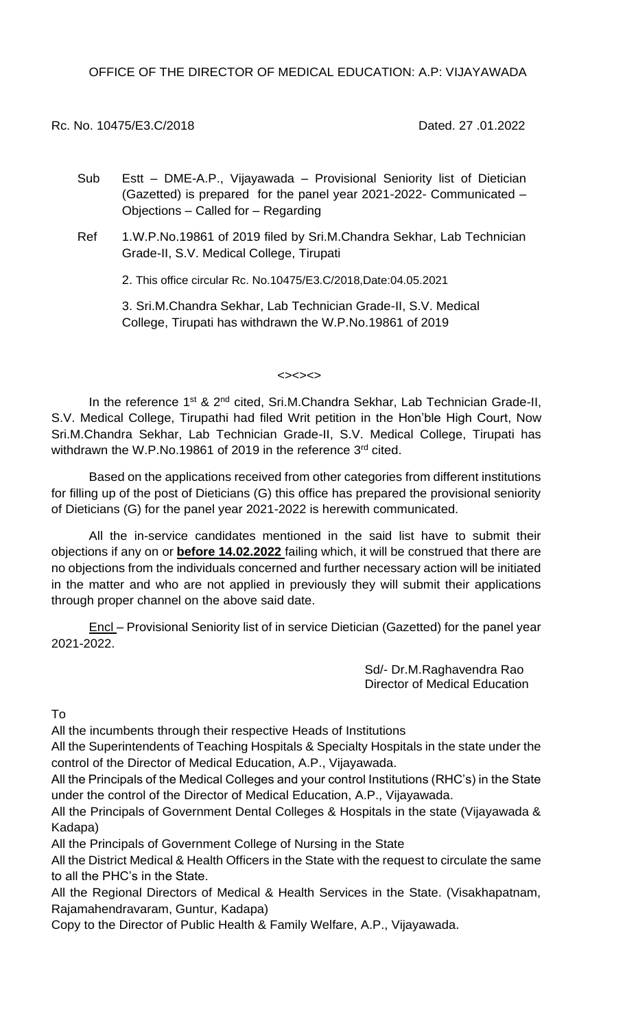OFFICE OF THE DIRECTOR OF MEDICAL EDUCATION: A.P: VIJAYAWADA

Rc. No. 10475/E3.C/2018 Dated. 27 .01.2022

- Sub Estt DME-A.P., Vijayawada Provisional Seniority list of Dietician (Gazetted) is prepared for the panel year 2021-2022- Communicated – Objections – Called for – Regarding
- Ref 1.W.P.No.19861 of 2019 filed by Sri.M.Chandra Sekhar, Lab Technician Grade-II, S.V. Medical College, Tirupati

2. This office circular Rc. No.10475/E3.C/2018,Date:04.05.2021

3. Sri.M.Chandra Sekhar, Lab Technician Grade-II, S.V. Medical College, Tirupati has withdrawn the W.P.No.19861 of 2019

<><><>

In the reference 1<sup>st</sup> & 2<sup>nd</sup> cited, Sri.M.Chandra Sekhar, Lab Technician Grade-II, S.V. Medical College, Tirupathi had filed Writ petition in the Hon'ble High Court, Now Sri.M.Chandra Sekhar, Lab Technician Grade-II, S.V. Medical College, Tirupati has withdrawn the W.P.No.19861 of 2019 in the reference 3<sup>rd</sup> cited.

Based on the applications received from other categories from different institutions for filling up of the post of Dieticians (G) this office has prepared the provisional seniority of Dieticians (G) for the panel year 2021-2022 is herewith communicated.

All the in-service candidates mentioned in the said list have to submit their objections if any on or **before 14.02.2022** failing which, it will be construed that there are no objections from the individuals concerned and further necessary action will be initiated in the matter and who are not applied in previously they will submit their applications through proper channel on the above said date.

Encl – Provisional Seniority list of in service Dietician (Gazetted) for the panel year 2021-2022.

> Sd/- Dr.M.Raghavendra Rao Director of Medical Education

To

All the incumbents through their respective Heads of Institutions

All the Superintendents of Teaching Hospitals & Specialty Hospitals in the state under the control of the Director of Medical Education, A.P., Vijayawada.

All the Principals of the Medical Colleges and your control Institutions (RHC's) in the State under the control of the Director of Medical Education, A.P., Vijayawada.

All the Principals of Government Dental Colleges & Hospitals in the state (Vijayawada & Kadapa)

All the Principals of Government College of Nursing in the State

All the District Medical & Health Officers in the State with the request to circulate the same to all the PHC's in the State.

All the Regional Directors of Medical & Health Services in the State. (Visakhapatnam, Rajamahendravaram, Guntur, Kadapa)

Copy to the Director of Public Health & Family Welfare, A.P., Vijayawada.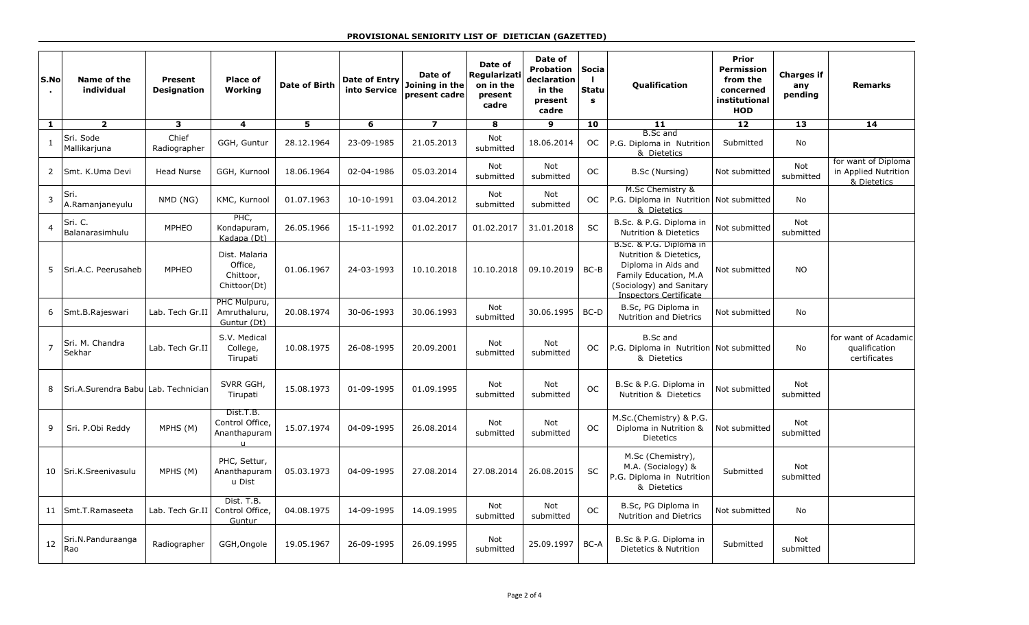| S.No           | Name of the<br>individual            | Present<br><b>Designation</b> | <b>Place of</b><br>Working                            | <b>Date of Birth</b> | Date of Entry<br>into Service | Date of<br>Joining in the<br>present cadre | Date of<br>Regularizati<br>on in the<br>present<br>cadre | Date of<br><b>Probation</b><br>declaration<br>in the<br>present<br>cadre | Socia<br>$\blacksquare$<br><b>Statu</b><br>$\mathbf s$ | <b>Qualification</b>                                                                                                                                     | <b>Prior</b><br><b>Permission</b><br>from the<br>concerned<br>institutional<br><b>HOD</b> | <b>Charges if</b><br>any<br>pending | <b>Remarks</b>                                             |
|----------------|--------------------------------------|-------------------------------|-------------------------------------------------------|----------------------|-------------------------------|--------------------------------------------|----------------------------------------------------------|--------------------------------------------------------------------------|--------------------------------------------------------|----------------------------------------------------------------------------------------------------------------------------------------------------------|-------------------------------------------------------------------------------------------|-------------------------------------|------------------------------------------------------------|
| 1              | $\overline{2}$                       | 3                             | 4                                                     | 5                    | 6                             | $\overline{\mathbf{z}}$                    | 8                                                        | 9                                                                        | 10                                                     | 11                                                                                                                                                       | $12 \overline{ }$                                                                         | 13                                  | 14                                                         |
| $\mathbf{1}$   | Sri. Sode<br>Mallikarjuna            | Chief<br>Radiographer         | GGH, Guntur                                           | 28.12.1964           | 23-09-1985                    | 21.05.2013                                 | Not<br>submitted                                         | 18.06.2014                                                               | OC.                                                    | <b>B.Sc</b> and<br>P.G. Diploma in Nutrition<br>& Dietetics                                                                                              | Submitted                                                                                 | No                                  |                                                            |
| 2              | Smt. K.Uma Devi                      | <b>Head Nurse</b>             | GGH, Kurnool                                          | 18.06.1964           | 02-04-1986                    | 05.03.2014                                 | Not<br>submitted                                         | Not<br>submitted                                                         | <b>OC</b>                                              | B.Sc (Nursing)                                                                                                                                           | Not submitted                                                                             | Not<br>submitted                    | for want of Diploma<br>in Applied Nutrition<br>& Dietetics |
| 3              | Sri.<br>A.Ramanjaneyulu              | NMD (NG)                      | KMC, Kurnool                                          | 01.07.1963           | 10-10-1991                    | 03.04.2012                                 | Not<br>submitted                                         | Not<br>submitted                                                         | OC.                                                    | M.Sc Chemistry &<br>P.G. Diploma in Nutrition Not submitted<br>& Dietetics                                                                               |                                                                                           | No                                  |                                                            |
| $\overline{4}$ | Sri. C.<br>Balanarasimhulu           | <b>MPHEO</b>                  | PHC,<br>Kondapuram,<br>Kadapa (Dt)                    | 26.05.1966           | 15-11-1992                    | 01.02.2017                                 | 01.02.2017                                               | 31.01.2018                                                               | <b>SC</b>                                              | B.Sc. & P.G. Diploma in<br><b>Nutrition &amp; Dietetics</b>                                                                                              | Not submitted                                                                             | Not<br>submitted                    |                                                            |
| 5              | Sri.A.C. Peerusaheb                  | <b>MPHEO</b>                  | Dist. Malaria<br>Office,<br>Chittoor,<br>Chittoor(Dt) | 01.06.1967           | 24-03-1993                    | 10.10.2018                                 | 10.10.2018                                               | 09.10.2019                                                               | BC-B                                                   | B.Sc. & P.G. Diploma in<br>Nutrition & Dietetics,<br>Diploma in Aids and<br>Family Education, M.A.<br>(Sociology) and Sanitary<br>Inspectors Certificate | Not submitted                                                                             | <b>NO</b>                           |                                                            |
| 6              | Smt.B.Rajeswari                      | Lab. Tech Gr.II               | PHC Mulpuru,<br>Amruthaluru,<br>Guntur (Dt)           | 20.08.1974           | 30-06-1993                    | 30.06.1993                                 | Not<br>submitted                                         | 30.06.1995                                                               | BC-D                                                   | B.Sc, PG Diploma in<br><b>Nutrition and Dietrics</b>                                                                                                     | Not submitted                                                                             | No                                  |                                                            |
| $\overline{7}$ | Sri. M. Chandra<br>Sekhar            | Lab. Tech Gr.II               | S.V. Medical<br>College,<br>Tirupati                  | 10.08.1975           | 26-08-1995                    | 20.09.2001                                 | Not<br>submitted                                         | <b>Not</b><br>submitted                                                  | OC.                                                    | <b>B.Sc and</b><br>P.G. Diploma in Nutrition<br>& Dietetics                                                                                              | Not submitted                                                                             | No                                  | for want of Acadamic<br>qualification<br>certificates      |
| 8              | Sri.A.Surendra Babul Lab. Technician |                               | SVRR GGH,<br>Tirupati                                 | 15.08.1973           | 01-09-1995                    | 01.09.1995                                 | Not<br>submitted                                         | Not<br>submitted                                                         | <b>OC</b>                                              | B.Sc & P.G. Diploma in<br>Nutrition & Dietetics                                                                                                          | Not submitted                                                                             | Not<br>submitted                    |                                                            |
| 9              | Sri. P.Obi Reddy                     | MPHS (M)                      | Dist.T.B.<br>Control Office,<br>Ananthapuram          | 15.07.1974           | 04-09-1995                    | 26.08.2014                                 | Not<br>submitted                                         | Not<br>submitted                                                         | <b>OC</b>                                              | M.Sc.(Chemistry) & P.G.<br>Diploma in Nutrition &<br><b>Dietetics</b>                                                                                    | Not submitted                                                                             | <b>Not</b><br>submitted             |                                                            |
| 10             | Sri.K.Sreenivasulu                   | MPHS (M)                      | PHC, Settur,<br>Ananthapuram<br>u Dist                | 05.03.1973           | 04-09-1995                    | 27.08.2014                                 | 27.08.2014                                               | 26.08.2015                                                               | SC                                                     | M.Sc (Chemistry),<br>M.A. (Socialogy) &<br>P.G. Diploma in Nutrition<br>& Dietetics                                                                      | Submitted                                                                                 | <b>Not</b><br>submitted             |                                                            |
| 11             | Smt.T.Ramaseeta                      | Lab. Tech Gr.II               | Dist. T.B.<br>Control Office,<br>Guntur               | 04.08.1975           | 14-09-1995                    | 14.09.1995                                 | Not<br>submitted                                         | Not<br>submitted                                                         | <b>OC</b>                                              | B.Sc, PG Diploma in<br><b>Nutrition and Dietrics</b>                                                                                                     | Not submitted                                                                             | No                                  |                                                            |
| 12             | Sri.N.Panduraanga<br>Rao             | Radiographer                  | GGH, Ongole                                           | 19.05.1967           | 26-09-1995                    | 26.09.1995                                 | Not<br>submitted                                         | 25.09.1997                                                               | BC-A                                                   | B.Sc & P.G. Diploma in<br>Dietetics & Nutrition                                                                                                          | Submitted                                                                                 | <b>Not</b><br>submitted             |                                                            |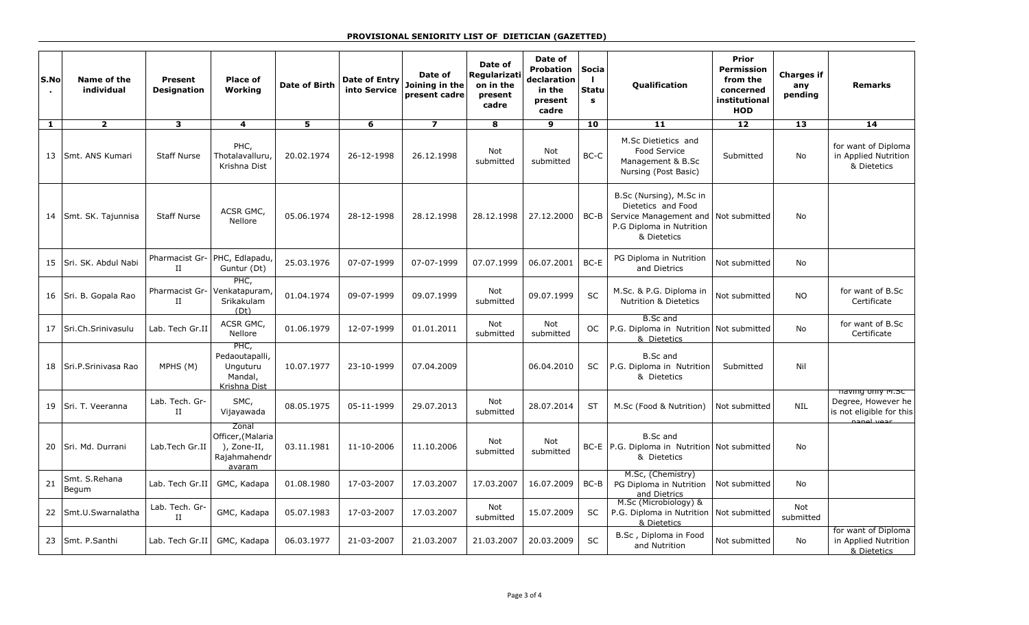## **PROVISIONAL SENIORITY LIST OF DIETICIAN (GAZETTED)**

| S.No<br>$\blacksquare$ | Name of the<br>individual | Present<br><b>Designation</b> | <b>Place of</b><br>Working                                          | <b>Date of Birth</b> | <b>Date of Entry</b><br>into Service | Date of<br>Joining in the<br>present cadre | Date of<br>Regularizati<br>on in the<br>present<br>cadre | Date of<br><b>Probation</b><br>declaration<br>in the<br>present<br>cadre | <b>Socia</b><br>$\mathbf{I}$<br><b>Statu</b><br>$\mathbf{s}$ | <b>Qualification</b>                                                                                                               | <b>Prior</b><br><b>Permission</b><br>from the<br>concerned<br>institutional<br><b>HOD</b> | <b>Charges if</b><br>any<br>pending | <b>Remarks</b>                                                                   |
|------------------------|---------------------------|-------------------------------|---------------------------------------------------------------------|----------------------|--------------------------------------|--------------------------------------------|----------------------------------------------------------|--------------------------------------------------------------------------|--------------------------------------------------------------|------------------------------------------------------------------------------------------------------------------------------------|-------------------------------------------------------------------------------------------|-------------------------------------|----------------------------------------------------------------------------------|
| $\mathbf{1}$           | $\overline{2}$            | $\overline{\mathbf{3}}$       | $\overline{\mathbf{4}}$                                             | 5                    | 6                                    | $\overline{\mathbf{z}}$                    | 8                                                        | 9                                                                        | 10                                                           | 11                                                                                                                                 | 12                                                                                        | $\overline{13}$                     | $\overline{14}$                                                                  |
| 13 I                   | Smt. ANS Kumari           | <b>Staff Nurse</b>            | PHC,<br>Thotalavalluru,<br>Krishna Dist                             | 20.02.1974           | 26-12-1998                           | 26.12.1998                                 | Not<br>submitted                                         | Not<br>submitted                                                         | BC-C                                                         | M.Sc Dietietics and<br>Food Service<br>Management & B.Sc<br>Nursing (Post Basic)                                                   | Submitted                                                                                 | <b>No</b>                           | for want of Diploma<br>in Applied Nutrition<br>& Dietetics                       |
| 14                     | Smt. SK. Tajunnisa        | <b>Staff Nurse</b>            | ACSR GMC,<br>Nellore                                                | 05.06.1974           | 28-12-1998                           | 28.12.1998                                 | 28.12.1998                                               | 27.12.2000                                                               | $BC-B$                                                       | B.Sc (Nursing), M.Sc in<br>Dietetics and Food<br>Service Management and   Not submitted<br>P.G Diploma in Nutrition<br>& Dietetics |                                                                                           | <b>No</b>                           |                                                                                  |
| 15                     | Sri. SK. Abdul Nabi       | $_{\rm II}$                   | Pharmacist Gr- PHC, Edlapadu,<br>Guntur (Dt)                        | 25.03.1976           | 07-07-1999                           | 07-07-1999                                 | 07.07.1999                                               | 06.07.2001                                                               | $BC-E$                                                       | PG Diploma in Nutrition<br>and Dietrics                                                                                            | Not submitted                                                                             | <b>No</b>                           |                                                                                  |
| 16                     | Sri. B. Gopala Rao        | Pharmacist Gr-<br>$_{\rm II}$ | PHC,<br>Venkatapuram,<br>Srikakulam<br>(Dt)                         | 01.04.1974           | 09-07-1999                           | 09.07.1999                                 | Not<br>submitted                                         | 09.07.1999                                                               | <b>SC</b>                                                    | M.Sc. & P.G. Diploma in<br><b>Nutrition &amp; Dietetics</b>                                                                        | Not submitted                                                                             | <b>NO</b>                           | for want of B.Sc<br>Certificate                                                  |
| 17                     | Sri.Ch.Srinivasulu        | Lab. Tech Gr.II               | ACSR GMC,<br>Nellore                                                | 01.06.1979           | 12-07-1999                           | 01.01.2011                                 | Not<br>submitted                                         | Not<br>submitted                                                         | OC.                                                          | <b>B.Sc</b> and<br>P.G. Diploma in Nutrition Not submitted<br>& Dietetics                                                          |                                                                                           | No                                  | for want of B.Sc<br>Certificate                                                  |
| 18                     | Sri.P.Srinivasa Rao       | MPHS (M)                      | PHC,<br>Pedaoutapalli,<br>Unguturu<br>Mandal,<br>Krishna Dist       | 10.07.1977           | 23-10-1999                           | 07.04.2009                                 |                                                          | 06.04.2010                                                               | <b>SC</b>                                                    | <b>B.Sc and</b><br>P.G. Diploma in Nutrition<br>& Dietetics                                                                        | Submitted                                                                                 | Nil                                 |                                                                                  |
| 19                     | Sri. T. Veeranna          | Lab. Tech. Gr-<br>$_{\rm II}$ | SMC,<br>Vijayawada                                                  | 08.05.1975           | 05-11-1999                           | 29.07.2013                                 | Not<br>submitted                                         | 28.07.2014                                                               | <b>ST</b>                                                    | M.Sc (Food & Nutrition)                                                                                                            | Not submitted                                                                             | <b>NIL</b>                          | naving only M.SC<br>Degree, However he<br>is not eligible for this<br>nangl vear |
| 20                     | Sri. Md. Durrani          | Lab.Tech Gr.II                | Zonal<br>Officer, (Malaria<br>), Zone-II,<br>Rajahmahendr<br>avaram | 03.11.1981           | 11-10-2006                           | 11.10.2006                                 | Not<br>submitted                                         | Not<br>submitted                                                         |                                                              | <b>B.Sc and</b><br>BC-E   P.G. Diploma in Nutrition   Not submitted<br>& Dietetics                                                 |                                                                                           | No                                  |                                                                                  |
| 21                     | Smt. S.Rehana<br>Begum    | Lab. Tech Gr.II               | GMC, Kadapa                                                         | 01.08.1980           | 17-03-2007                           | 17.03.2007                                 | 17.03.2007                                               | 16.07.2009                                                               | $BC-B$                                                       | M.Sc, (Chemistry)<br>PG Diploma in Nutrition<br>and Dietrics                                                                       | Not submitted                                                                             | No                                  |                                                                                  |
| 22                     | Smt.U.Swarnalatha         | Lab. Tech. Gr-<br>П           | GMC, Kadapa                                                         | 05.07.1983           | 17-03-2007                           | 17.03.2007                                 | Not<br>submitted                                         | 15.07.2009                                                               | SC                                                           | M.Sc (Microbiology) &<br>P.G. Diploma in Nutrition<br>& Dietetics                                                                  | Not submitted                                                                             | Not<br>submitted                    |                                                                                  |
| 23                     | Smt. P.Santhi             | Lab. Tech Gr.II               | GMC, Kadapa                                                         | 06.03.1977           | 21-03-2007                           | 21.03.2007                                 | 21.03.2007                                               | 20.03.2009                                                               | <b>SC</b>                                                    | B.Sc, Diploma in Food<br>and Nutrition                                                                                             | Not submitted                                                                             | No                                  | for want of Diploma<br>in Applied Nutrition<br>& Dietetics                       |